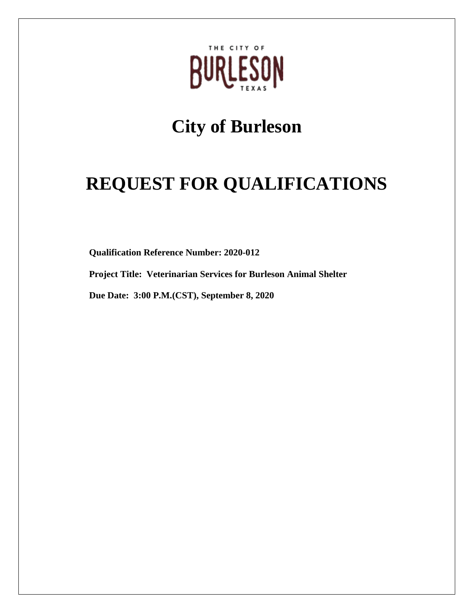

# **City of Burleson**

# **REQUEST FOR QUALIFICATIONS**

**Qualification Reference Number: 2020-012**

**Project Title: Veterinarian Services for Burleson Animal Shelter**

**Due Date: 3:00 P.M.(CST), September 8, 2020**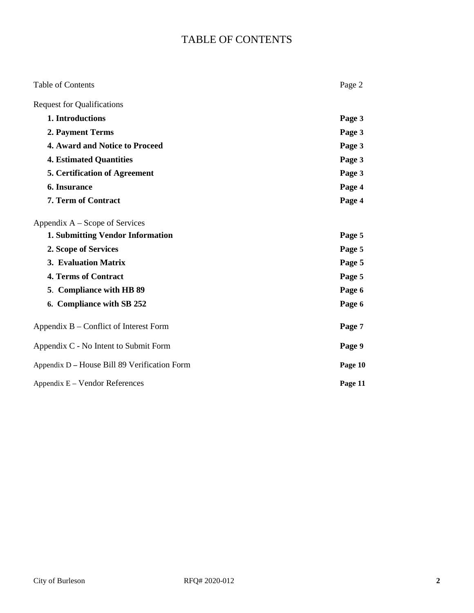# TABLE OF CONTENTS

| <b>Table of Contents</b>                     | Page 2  |
|----------------------------------------------|---------|
| <b>Request for Qualifications</b>            |         |
| 1. Introductions                             | Page 3  |
| 2. Payment Terms                             | Page 3  |
| 4. Award and Notice to Proceed               | Page 3  |
| <b>4. Estimated Quantities</b>               | Page 3  |
| <b>5. Certification of Agreement</b>         | Page 3  |
| <b>6. Insurance</b>                          | Page 4  |
| 7. Term of Contract                          | Page 4  |
| Appendix A – Scope of Services               |         |
| <b>1. Submitting Vendor Information</b>      | Page 5  |
| 2. Scope of Services                         | Page 5  |
| 3. Evaluation Matrix                         | Page 5  |
| 4. Terms of Contract                         | Page 5  |
| 5. Compliance with HB 89                     | Page 6  |
| 6. Compliance with SB 252                    | Page 6  |
| Appendix B – Conflict of Interest Form       | Page 7  |
| Appendix C - No Intent to Submit Form        | Page 9  |
| Appendix D – House Bill 89 Verification Form | Page 10 |
| Appendix $E -$ Vendor References             | Page 11 |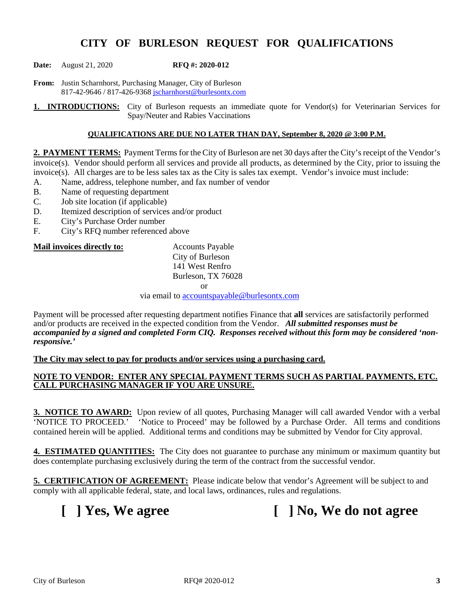# **CITY OF BURLESON REQUEST FOR QUALIFICATIONS**

**Date:** August 21, 2020 **RFQ #: 2020-012**

**From:** Justin Scharnhorst, Purchasing Manager, City of Burleson 817-42-9646 / 817-426-9368 [jscharnhorst@burlesontx.com](mailto:jscharnhorst@burlesontx.com)

**1. INTRODUCTIONS:** City of Burleson requests an immediate quote for Vendor(s) for Veterinarian Services for Spay/Neuter and Rabies Vaccinations

#### **QUALIFICATIONS ARE DUE NO LATER THAN DAY, September 8, 2020 @ 3:00 P.M.**

**2. PAYMENT TERMS:** Payment Terms for the City of Burleson are net 30 days after the City's receipt of the Vendor's invoice(s). Vendor should perform all services and provide all products, as determined by the City, prior to issuing the invoice(s). All charges are to be less sales tax as the City is sales tax exempt. Vendor's invoice must include:

- A. Name, address, telephone number, and fax number of vendor
- B. Name of requesting department<br>C. Job site location (if applicable)
- Job site location (if applicable)
- D. Itemized description of services and/or product
- E. City's Purchase Order number
- F. City's RFQ number referenced above

#### **Mail invoices directly to:** Accounts Payable

City of Burleson 141 West Renfro Burleson, TX 76028 or

via email t[o accountspayable@burlesontx.com](mailto:accountspayable@burlesontx.com)

Payment will be processed after requesting department notifies Finance that **all** services are satisfactorily performed and/or products are received in the expected condition from the Vendor. *All submitted responses must be accompanied by a signed and completed Form CIQ. Responses received without this form may be considered 'nonresponsive.'*

#### **The City may select to pay for products and/or services using a purchasing card.**

#### **NOTE TO VENDOR: ENTER ANY SPECIAL PAYMENT TERMS SUCH AS PARTIAL PAYMENTS, ETC. CALL PURCHASING MANAGER IF YOU ARE UNSURE.**

**3. NOTICE TO AWARD:** Upon review of all quotes, Purchasing Manager will call awarded Vendor with a verbal 'NOTICE TO PROCEED.' 'Notice to Proceed' may be followed by a Purchase Order. All terms and conditions contained herein will be applied. Additional terms and conditions may be submitted by Vendor for City approval.

**4. ESTIMATED QUANTITIES:** The City does not guarantee to purchase any minimum or maximum quantity but does contemplate purchasing exclusively during the term of the contract from the successful vendor.

**5. CERTIFICATION OF AGREEMENT:** Please indicate below that vendor's Agreement will be subject to and comply with all applicable federal, state, and local laws, ordinances, rules and regulations.

**[ ] Yes, We agree [ ] No, We do not agree**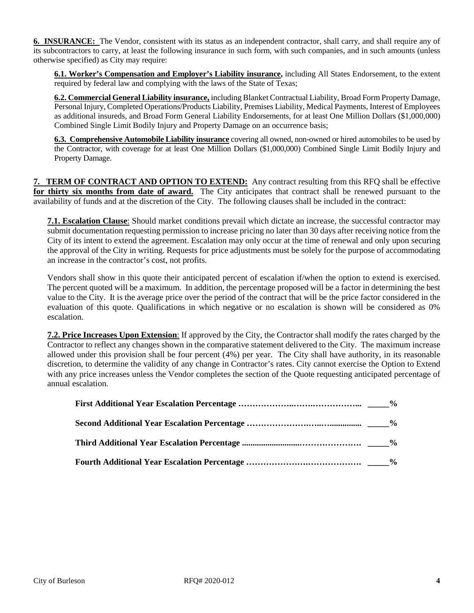**6. INSURANCE:** The Vendor, consistent with its status as an independent contractor, shall carry, and shall require any of its subcontractors to carry, at least the following insurance in such form, with such companies, and in such amounts (unless otherwise specified) as City may require:

**6.1. Worker's Compensation and Employer's Liability insurance,** including All States Endorsement, to the extent required by federal law and complying with the laws of the State of Texas;

**6.2. Commercial General Liability insurance,** including Blanket Contractual Liability, Broad Form Property Damage, Personal Injury, Completed Operations/Products Liability, Premises Liability, Medical Payments, Interest of Employees as additional insureds, and Broad Form General Liability Endorsements, for at least One Million Dollars (\$1,000,000) Combined Single Limit Bodily Injury and Property Damage on an occurrence basis;

**6.3. Comprehensive Automobile Liability insurance** covering all owned, non-owned or hired automobiles to be used by the Contractor, with coverage for at least One Million Dollars (\$1,000,000) Combined Single Limit Bodily Injury and Property Damage.

**7. TERM OF CONTRACT AND OPTION TO EXTEND:** Any contract resulting from this RFQ shall be effective **for thirty six months from date of award.** The City anticipates that contract shall be renewed pursuant to the availability of funds and at the discretion of the City. The following clauses shall be included in the contract:

**7.1. Escalation Clause**: Should market conditions prevail which dictate an increase, the successful contractor may submit documentation requesting permission to increase pricing no later than 30 days after receiving notice from the City of its intent to extend the agreement. Escalation may only occur at the time of renewal and only upon securing the approval of the City in writing. Requests for price adjustments must be solely for the purpose of accommodating an increase in the contractor's cost, not profits.

Vendors shall show in this quote their anticipated percent of escalation if/when the option to extend is exercised. The percent quoted will be a maximum. In addition, the percentage proposed will be a factor in determining the best value to the City. It is the average price over the period of the contract that will be the price factor considered in the evaluation of this quote. Qualifications in which negative or no escalation is shown will be considered as 0% escalation.

**7.2. Price Increases Upon Extension**: If approved by the City, the Contractor shall modify the rates charged by the Contractor to reflect any changes shown in the comparative statement delivered to the City. The maximum increase allowed under this provision shall be four percent (4%) per year. The City shall have authority, in its reasonable discretion, to determine the validity of any change in Contractor's rates. City cannot exercise the Option to Extend with any price increases unless the Vendor completes the section of the Quote requesting anticipated percentage of annual escalation.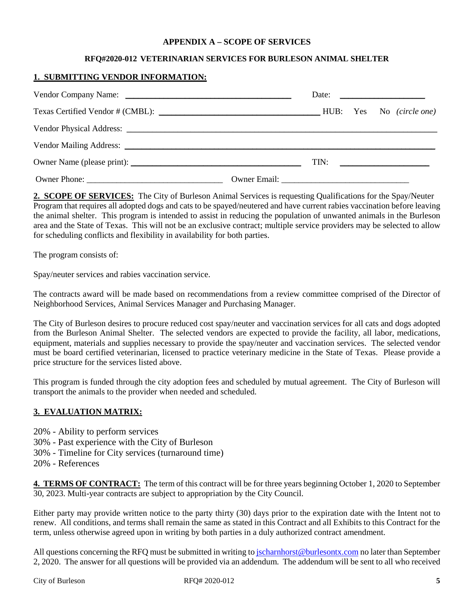#### **APPENDIX A – SCOPE OF SERVICES**

#### **RFQ#2020-012 VETERINARIAN SERVICES FOR BURLESON ANIMAL SHELTER**

#### **1. SUBMITTING VENDOR INFORMATION:**

|  |  | Date: $\qquad \qquad$ |
|--|--|-----------------------|
|  |  |                       |
|  |  |                       |
|  |  |                       |
|  |  |                       |
|  |  |                       |

**2. SCOPE OF SERVICES:** The City of Burleson Animal Services is requesting Qualifications for the Spay/Neuter Program that requires all adopted dogs and cats to be spayed/neutered and have current rabies vaccination before leaving the animal shelter. This program is intended to assist in reducing the population of unwanted animals in the Burleson area and the State of Texas. This will not be an exclusive contract; multiple service providers may be selected to allow for scheduling conflicts and flexibility in availability for both parties.

The program consists of:

Spay/neuter services and rabies vaccination service.

The contracts award will be made based on recommendations from a review committee comprised of the Director of Neighborhood Services, Animal Services Manager and Purchasing Manager.

The City of Burleson desires to procure reduced cost spay/neuter and vaccination services for all cats and dogs adopted from the Burleson Animal Shelter. The selected vendors are expected to provide the facility, all labor, medications, equipment, materials and supplies necessary to provide the spay/neuter and vaccination services. The selected vendor must be board certified veterinarian, licensed to practice veterinary medicine in the State of Texas. Please provide a price structure for the services listed above.

This program is funded through the city adoption fees and scheduled by mutual agreement. The City of Burleson will transport the animals to the provider when needed and scheduled.

#### **3. EVALUATION MATRIX:**

- 20% Ability to perform services
- 30% Past experience with the City of Burleson
- 30% Timeline for City services (turnaround time)
- 20% References

**4. TERMS OF CONTRACT:** The term of this contract will be for three years beginning October 1, 2020 to September 30, 2023. Multi-year contracts are subject to appropriation by the City Council.

Either party may provide written notice to the party thirty (30) days prior to the expiration date with the Intent not to renew. All conditions, and terms shall remain the same as stated in this Contract and all Exhibits to this Contract for the term, unless otherwise agreed upon in writing by both parties in a duly authorized contract amendment.

All questions concerning the RFQ must be submitted in writing t[o jscharnhorst@burlesontx.com](mailto:jscharnhorst@burlesontx.com) no later than September 2, 2020. The answer for all questions will be provided via an addendum. The addendum will be sent to all who received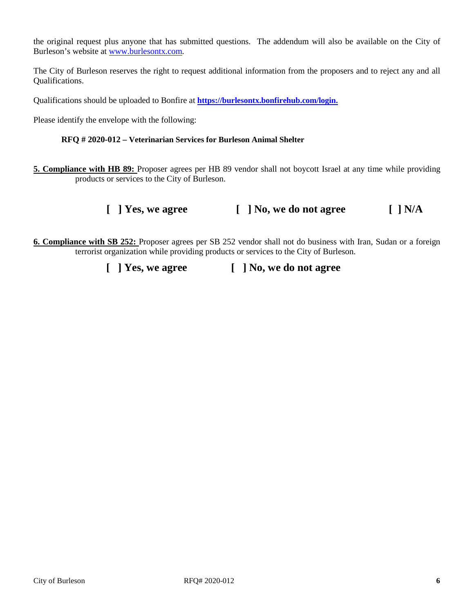the original request plus anyone that has submitted questions. The addendum will also be available on the City of Burleson's website at [www.burlesontx.com.](http://www.burlesontx.com/)

The City of Burleson reserves the right to request additional information from the proposers and to reject any and all Qualifications.

Qualifications should be uploaded to Bonfire at **[https://burlesontx.bonfirehub.com/login.](https://burlesontx.bonfirehub.com/login)** 

Please identify the envelope with the following:

#### **RFQ # 2020-012 – Veterinarian Services for Burleson Animal Shelter**

**5. Compliance with HB 89:** Proposer agrees per HB 89 vendor shall not boycott Israel at any time while providing products or services to the City of Burleson.

### **[ ] Yes, we agree [ ] No, we do not agree [ ] N/A**

**6. Compliance with SB 252:** Proposer agrees per SB 252 vendor shall not do business with Iran, Sudan or a foreign terrorist organization while providing products or services to the City of Burleson.

 **[ ] Yes, we agree [ ] No, we do not agree**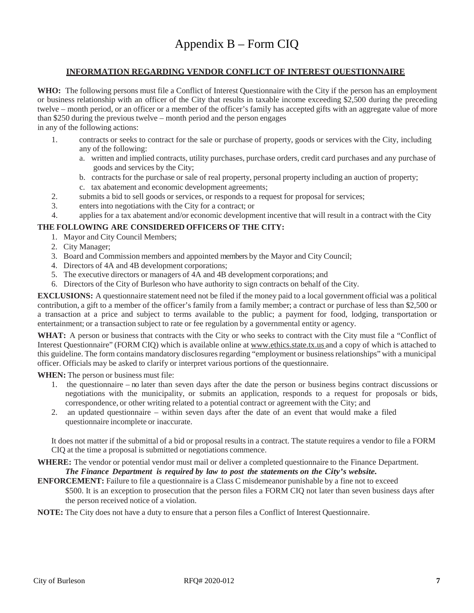#### **INFORMATION REGARDING VENDOR CONFLICT OF INTEREST QUESTIONNAIRE**

**WHO:** The following persons must file a Conflict of Interest Questionnaire with the City if the person has an employment or business relationship with an officer of the City that results in taxable income exceeding \$2,500 during the preceding twelve – month period, or an officer or a member of the officer's family has accepted gifts with an aggregate value of more than \$250 during the previous twelve – month period and the person engages

in any of the following actions:

- 1. contracts or seeks to contract for the sale or purchase of property, goods or services with the City, including any of the following:
	- a. written and implied contracts, utility purchases, purchase orders, credit card purchases and any purchase of goods and services by the City;
	- b. contracts for the purchase or sale of real property, personal property including an auction of property;
	- c. tax abatement and economic development agreements;
- 2. submits a bid to sell goods or services, or responds to a request for proposal for services;
- 3. enters into negotiations with the City for a contract; or
- 4. applies for a tax abatement and/or economic development incentive that will result in a contract with the City

#### **THE FOLLOWING ARE CONSIDERED OFFICERS OF THE CITY:**

- 1. Mayor and City Council Members;
- 2. City Manager;
- 3. Board and Commission members and appointed members by the Mayor and City Council;
- 4. Directors of 4A and 4B development corporations;
- 5. The executive directors or managers of 4A and 4B development corporations; and
- 6. Directors of the City of Burleson who have authority to sign contracts on behalf of the City.

**EXCLUSIONS:** A questionnaire statement need not be filed if the money paid to a local government official was a political contribution, a gift to a member of the officer's family from a family member; a contract or purchase of less than \$2,500 or a transaction at a price and subject to terms available to the public; a payment for food, lodging, transportation or entertainment; or a transaction subject to rate or fee regulation by a governmental entity or agency.

**WHAT:** A person or business that contracts with the City or who seeks to contract with the City must file a "Conflict of Interest Questionnaire" (FORM CIQ) which is available online at [www.ethics.state.tx.us](http://www.ethics.state.tx.us/) and a copy of which is attached to this guideline. The form contains mandatory disclosures regarding "employment or business relationships" with a municipal officer. Officials may be asked to clarify or interpret various portions of the questionnaire.

**WHEN:** The person or business must file:

- 1. the questionnaire no later than seven days after the date the person or business begins contract discussions or negotiations with the municipality, or submits an application, responds to a request for proposals or bids, correspondence, or other writing related to a potential contract or agreement with the City; and
- 2. an updated questionnaire within seven days after the date of an event that would make a filed questionnaire incomplete or inaccurate.

It does not matter if the submittal of a bid or proposal results in a contract. The statute requires a vendor to file a FORM CIQ at the time a proposal is submitted or negotiations commence.

**WHERE:** The vendor or potential vendor must mail or deliver a completed questionnaire to the Finance Department. *The Finance Department is required by law to post the statements on the City's website.*

**ENFORCEMENT:** Failure to file a questionnaire is a Class C misdemeanor punishable by a fine not to exceed \$500. It is an exception to prosecution that the person files a FORM CIQ not later than seven business days after the person received notice of a violation.

**NOTE:** The City does not have a duty to ensure that a person files a Conflict of Interest Questionnaire.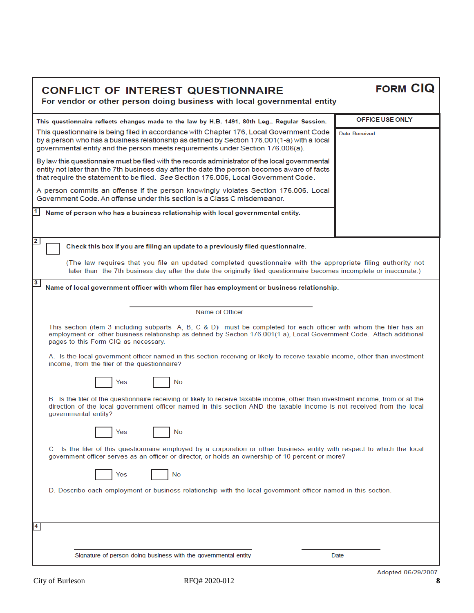| <b>CONFLICT OF INTEREST QUESTIONNAIRE</b><br>For vendor or other person doing business with local governmental entity                                                                                                                                                                  | <b>FORM CIQ</b>    |
|----------------------------------------------------------------------------------------------------------------------------------------------------------------------------------------------------------------------------------------------------------------------------------------|--------------------|
| This questionnaire reflects changes made to the law by H.B. 1491, 80th Leg., Regular Session.                                                                                                                                                                                          | OFFICE USE ONLY    |
| This questionnaire is being filed in accordance with Chapter 176, Local Government Code<br>by a person who has a business relationship as defined by Section 176.001(1-a) with a local<br>governmental entity and the person meets requirements under Section 176.006(a).              | Date Received      |
| By law this questionnaire must be filed with the records administrator of the local governmental<br>entity not later than the 7th business day after the date the person becomes aware of facts<br>that require the statement to be filed. See Section 176.006, Local Government Code. |                    |
| A person commits an offense if the person knowingly violates Section 176.006, Local<br>Government Code, An offense under this section is a Class C misdemeanor.                                                                                                                        |                    |
| Name of person who has a business relationship with local governmental entity.                                                                                                                                                                                                         |                    |
| $\overline{2}$<br>Check this box if you are filing an update to a previously filed questionnaire.                                                                                                                                                                                      |                    |
| (The law requires that you file an updated completed questionnaire with the appropriate filing authority not<br>later than the 7th business day after the date the originally filed questionnaire becomes incomplete or inaccurate.)                                                   |                    |
| $3\phantom{a}$<br>Name of local government officer with whom filer has employment or business relationship.                                                                                                                                                                            |                    |
| Name of Officer                                                                                                                                                                                                                                                                        |                    |
| This section (item 3 including subparts A, B, C & D) must be completed for each officer with whom the filer has an<br>employment or other business relationship as defined by Section 176.001(1-a), Local Government Code. Attach additional<br>pages to this Form CIQ as necessary.   |                    |
| A. Is the local government officer named in this section receiving or likely to receive taxable income, other than investment<br>income, from the filer of the questionnaire?                                                                                                          |                    |
| No<br>Yes                                                                                                                                                                                                                                                                              |                    |
| B. Is the filer of the questionnaire receiving or likely to receive taxable income, other than investment income, from or at the<br>direction of the local government officer named in this section AND the taxable income is not received from the local<br>governmental entity?      |                    |
| No<br>Yes                                                                                                                                                                                                                                                                              |                    |
| C. Is the filer of this questionnaire employed by a corporation or other business entity with respect to which the local<br>government officer serves as an officer or director, or holds an ownership of 10 percent or more?                                                          |                    |
| Yes<br>No                                                                                                                                                                                                                                                                              |                    |
| D. Describe each employment or business relationship with the local government officer named in this section.                                                                                                                                                                          |                    |
| 4                                                                                                                                                                                                                                                                                      |                    |
| Signature of person doing business with the governmental entity                                                                                                                                                                                                                        | Date               |
|                                                                                                                                                                                                                                                                                        | Adopted 08/20/2007 |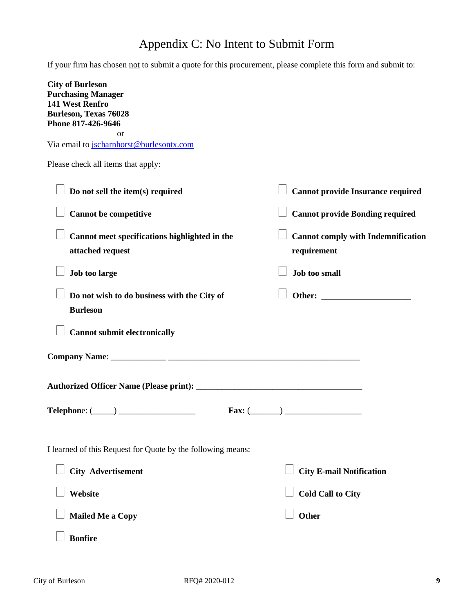# Appendix C: No Intent to Submit Form

If your firm has chosen not to submit a quote for this procurement, please complete this form and submit to:

| <b>City of Burleson</b><br><b>Purchasing Manager</b>              |                                                          |
|-------------------------------------------------------------------|----------------------------------------------------------|
| 141 West Renfro<br><b>Burleson, Texas 76028</b>                   |                                                          |
| Phone 817-426-9646                                                |                                                          |
| <sub>or</sub><br>Via email to jscharnhorst@burlesontx.com         |                                                          |
| Please check all items that apply:                                |                                                          |
| Do not sell the item(s) required                                  | <b>Cannot provide Insurance required</b>                 |
| <b>Cannot be competitive</b>                                      | <b>Cannot provide Bonding required</b>                   |
| Cannot meet specifications highlighted in the<br>attached request | <b>Cannot comply with Indemnification</b><br>requirement |
| Job too large                                                     | <b>Job too small</b>                                     |
| Do not wish to do business with the City of<br><b>Burleson</b>    |                                                          |
| <b>Cannot submit electronically</b>                               |                                                          |
|                                                                   |                                                          |
|                                                                   |                                                          |
|                                                                   | Fax: $(\_\_\_\_)$                                        |
| I learned of this Request for Quote by the following means:       |                                                          |
| <b>City Advertisement</b>                                         | <b>City E-mail Notification</b>                          |
| Website                                                           | <b>Cold Call to City</b>                                 |
| <b>Mailed Me a Copy</b>                                           | Other                                                    |
| <b>Bonfire</b>                                                    |                                                          |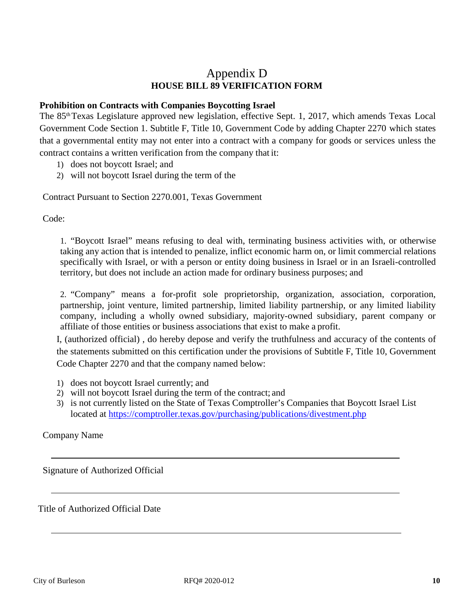# Appendix D **HOUSE BILL 89 VERIFICATION FORM**

#### **Prohibition on Contracts with Companies Boycotting Israel**

The 85<sup>th</sup> Texas Legislature approved new legislation, effective Sept. 1, 2017, which amends Texas Local Government Code Section 1. Subtitle F, Title 10, Government Code by adding Chapter 2270 which states that a governmental entity may not enter into a contract with a company for goods or services unless the contract contains a written verification from the company that it:

- 1) does not boycott Israel; and
- 2) will not boycott Israel during the term of the

Contract Pursuant to Section 2270.001, Texas Government

Code:

1. "Boycott Israel" means refusing to deal with, terminating business activities with, or otherwise taking any action that is intended to penalize, inflict economic harm on, or limit commercial relations specifically with Israel, or with a person or entity doing business in Israel or in an Israeli-controlled territory, but does not include an action made for ordinary business purposes; and

2. "Company" means a for-profit sole proprietorship, organization, association, corporation, partnership, joint venture, limited partnership, limited liability partnership, or any limited liability company, including a wholly owned subsidiary, majority-owned subsidiary, parent company or affiliate of those entities or business associations that exist to make a profit.

I, (authorized official) , do hereby depose and verify the truthfulness and accuracy of the contents of the statements submitted on this certification under the provisions of Subtitle F, Title 10, Government Code Chapter 2270 and that the company named below:

- 1) does not boycott Israel currently; and
- 2) will not boycott Israel during the term of the contract; and
- 3) is not currently listed on the State of Texas Comptroller's Companies that Boycott Israel List located at https://comptroller.texas.gov/purchasing/publications/divestment.php

Company Name

Signature of Authorized Official

Title of Authorized Official Date